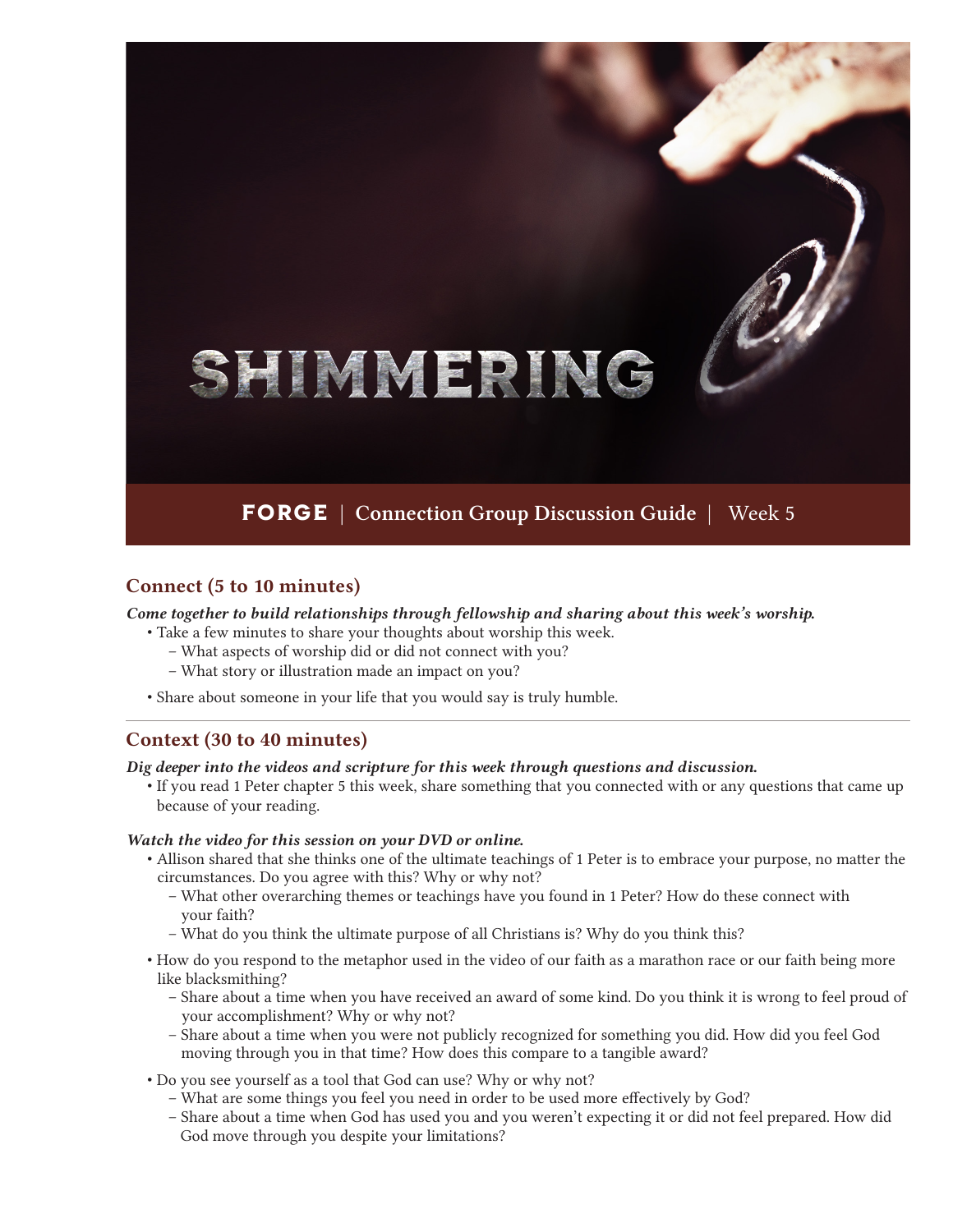# SHIMMERING

# **FORGE** | Connection Group Discussion Guide | Week 5

### Connect (5 to 10 minutes)

*Come together to build relationships through fellowship and sharing about this week's worship.*

- Take a few minutes to share your thoughts about worship this week.
	- What aspects of worship did or did not connect with you?
	- What story or illustration made an impact on you?
- Share about someone in your life that you would say is truly humble.

#### Context (30 to 40 minutes)

*Dig deeper into the videos and scripture for this week through questions and discussion.*

• If you read 1 Peter chapter 5 this week, share something that you connected with or any questions that came up because of your reading.

#### *Watch the video for this session on your DVD or online.*

- Allison shared that she thinks one of the ultimate teachings of 1 Peter is to embrace your purpose, no matter the circumstances. Do you agree with this? Why or why not?
	- What other overarching themes or teachings have you found in 1 Peter? How do these connect with your faith?
	- What do you think the ultimate purpose of all Christians is? Why do you think this?
- How do you respond to the metaphor used in the video of our faith as a marathon race or our faith being more like blacksmithing?
	- Share about a time when you have received an award of some kind. Do you think it is wrong to feel proud of your accomplishment? Why or why not?
	- Share about a time when you were not publicly recognized for something you did. How did you feel God moving through you in that time? How does this compare to a tangible award?
- Do you see yourself as a tool that God can use? Why or why not?
	- What are some things you feel you need in order to be used more effectively by God?
	- Share about a time when God has used you and you weren't expecting it or did not feel prepared. How did God move through you despite your limitations?